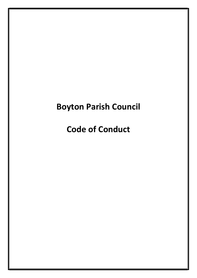# Boyton Parish Council

Code of Conduct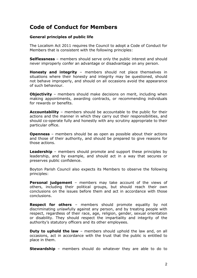# Code of Conduct for Members

## General principles of public life

The Localism Act 2011 requires the Council to adopt a Code of Conduct for Members that is consistent with the following principles:

Selflessness - members should serve only the public interest and should never improperly confer an advantage or disadvantage on any person.

Honesty and integrity - members should not place themselves in situations where their honesty and integrity may be questioned, should not behave improperly, and should on all occasions avoid the appearance of such behaviour.

**Objectivity** – members should make decisions on merit, including when making appointments, awarding contracts, or recommending individuals for rewards or benefits.

Accountability – members should be accountable to the public for their actions and the manner in which they carry out their responsibilities, and should co-operate fully and honestly with any scrutiny appropriate to their particular office.

**Openness** – members should be as open as possible about their actions and those of their authority, and should be prepared to give reasons for those actions.

**Leadership** – members should promote and support these principles by leadership, and by example, and should act in a way that secures or preserves public confidence.

Boyton Parish Council also expects its Members to observe the following principles:

**Personal judgement** – members may take account of the views of others, including their political groups, but should reach their own conclusions on the issues before them and act in accordance with those conclusions.

**Respect for others** – members should promote equality by not discriminating unlawfully against any person, and by treating people with respect, regardless of their race, age, religion, gender, sexual orientation or disability. They should respect the impartiality and integrity of the authority's statutory officers and its other employees.

**Duty to uphold the law** – members should uphold the law and, on all occasions, act in accordance with the trust that the public is entitled to place in them.

**Stewardship** – members should do whatever they are able to do to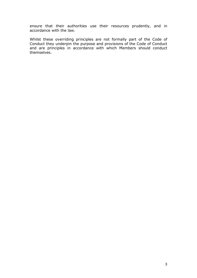ensure that their authorities use their resources prudently, and in accordance with the law.

Whilst these overriding principles are not formally part of the Code of Conduct they underpin the purpose and provisions of the Code of Conduct and are principles in accordance with which Members should conduct themselves.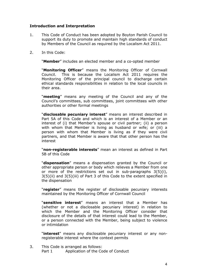# Introduction and Interpretation

- 1. This Code of Conduct has been adopted by Boyton Parish Council to support its duty to promote and maintain high standards of conduct by Members of the Council as required by the Localism Act 2011.
- 2. In this Code:

"Member" includes an elected member and a co-opted member

"Monitoring Officer" means the Monitoring Officer of Cornwall Council. This is because the Localism Act 2011 requires the Monitoring Officer of the principal council to discharge certain ethical standards responsibilities in relation to the local councils in their area.

"meeting" means any meeting of the Council and any of the Council's committees, sub committees, joint committees with other authorities or other formal meetings

"disclosable pecuniary interest" means an interest described in Part 5A of this Code and which is an interest of a Member or an interest of (i) that Member's spouse or civil partner; (ii) a person with whom that Member is living as husband or wife; or (iii) a person with whom that Member is living as if they were civil partners, and that Member is aware that that other person has the interest

"non-registerable interests" mean an interest as defined in Part 5B of this Code

"**dispensation**" means a dispensation granted by the Council or other appropriate person or body which relieves a Member from one or more of the restrictions set out in sub-paragraphs 3(5)(i), 3(5)(ii) and 3(5)(iii) of Part 3 of this Code to the extent specified in the dispensation

"register" means the register of disclosable pecuniary interests maintained by the Monitoring Officer of Cornwall Council

"sensitive interest" means an interest that a Member has (whether or not a disclosable pecuniary interest) in relation to which the Member and the Monitoring Officer consider that disclosure of the details of that interest could lead to the Member, or a person connected with the Member, being subject to violence or intimidation

"interest" means any disclosable pecuniary interest or any nonregisterable interest where the context permits

3. This Code is arranged as follows: Part 1 Application of the Code of Conduct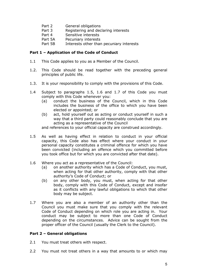- Part 2 General obligations
- Part 3 Registering and declaring interests
- Part 4 Sensitive interests
- Part 5A Pecuniary interests
- Part 5B Interests other than pecuniary interests

#### Part 1 – Application of the Code of Conduct

- 1.1 This Code applies to you as a Member of the Council.
- 1.2. This Code should be read together with the preceding general principles of public life.
- 1.3. It is your responsibility to comply with the provisions of this Code.
- 1.4 Subject to paragraphs 1.5, 1.6 and 1.7 of this Code you must comply with this Code whenever you:
	- (a) conduct the business of the Council, which in this Code includes the business of the office to which you have been elected or appointed; or
	- (b) act, hold yourself out as acting or conduct yourself in such a way that a third party could reasonably conclude that you are acting as a representative of the Council

and references to your official capacity are construed accordingly.

- 1.5 As well as having effect in relation to conduct in your official capacity, this Code also has effect where your conduct in your personal capacity constitutes a criminal offence for which you have been convicted (including an offence which you committed before you took office but for which you are convicted after that date).
- 1.6 Where you act as a representative of the Council:
	- (a) on another authority which has a Code of Conduct, you must, when acting for that other authority, comply with that other authority's Code of Conduct; or
	- (b) on any other body, you must, when acting for that other body, comply with this Code of Conduct, except and insofar as it conflicts with any lawful obligations to which that other body may be subject.
- 1.7 Where you are also a member of an authority other than the Council you must make sure that you comply with the relevant Code of Conduct depending on which role you are acting in. Your conduct may be subject to more than one Code of Conduct depending on the circumstances. Advice can be sought from the proper officer of the Council (usually the Clerk to the Council).

## Part 2 – General obligations

- 2.1 You must treat others with respect.
- 2.2 You must not treat others in a way that amounts to or which may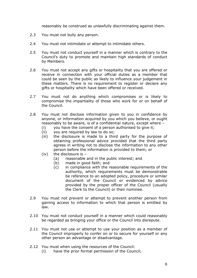reasonably be construed as unlawfully discriminating against them.

- 2.3 You must not bully any person.
- 2.4 You must not intimidate or attempt to intimidate others.
- 2.5 You must not conduct yourself in a manner which is contrary to the Council's duty to promote and maintain high standards of conduct by Members.
- 2.6 You must not accept any gifts or hospitality that you are offered or receive in connection with your official duties as a member that could be seen by the public as likely to influence your judgement in these matters. There is no requirement to register or declare any gifts or hospitality which have been offered or received.
- 2.7 You must not do anything which compromises or is likely to compromise the impartiality of those who work for or on behalf of the Council.
- 2.8 You must not disclose information given to you in confidence by anyone, or information acquired by you which you believe, or ought reasonably to be aware, is of a confidential nature, except where –
	- (i) you have the consent of a person authorised to give it;
	- (ii) you are required by law to do so;
	- (iii) the disclosure is made to a third party for the purpose of obtaining professional advice provided that the third party agrees in writing not to disclose the information to any other person before the information is provided to them; or
	- (iv) the disclosure is  $-$ 
		- (a) reasonable and in the public interest; and
		- (b) made in good faith; and
		- (c) in compliance with the reasonable requirements of the authority, which requirements must be demonstrable be reference to an adopted policy, procedure or similar document of the Council or evidenced by advice provided by the proper officer of the Council (usually the Clerk to the Council) or their nominee.
- 2.9 You must not prevent or attempt to prevent another person from gaining access to information to which that person is entitled by law.
- 2.10 You must not conduct yourself in a manner which could reasonably be regarded as bringing your office or the Council into disrepute.
- 2.11 You must not use or attempt to use your position as a member of the Council improperly to confer on or to secure for yourself or any other person an advantage or disadvantage.
- 2.12 You must when using the resources of the Council:
	- (i) have the prior formal permission of the Council;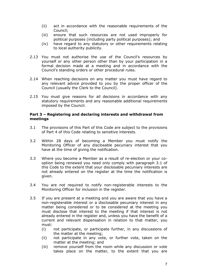- (ii) act in accordance with the reasonable requirements of the Council;
- (iii) ensure that such resources are not used improperly for political purposes (including party political purposes); and
- (iv) have regard to any statutory or other requirements relating to local authority publicity.
- 2.13 You must not authorise the use of the Council's resources by yourself or any other person other than by your participation in a formal decision made at a meeting and in accordance with the Council's standing orders or other procedural rules.
- 2.14 When reaching decisions on any matter you must have regard to any relevant advice provided to you by the proper officer of the Council (usually the Clerk to the Council).
- 2.15 You must give reasons for all decisions in accordance with any statutory requirements and any reasonable additional requirements imposed by the Council.

#### Part 3 – Registering and declaring interests and withdrawal from meetings

- 3.1 The provisions of this Part of this Code are subject to the provisions of Part 4 of this Code relating to sensitive interests.
- 3.2 Within 28 days of becoming a Member you must notify the Monitoring Officer of any disclosable pecuniary interest that you have at the time of giving the notification.
- 3.3 Where you become a Member as a result of re-election or your cooption being renewed you need only comply with paragraph 3.1 of this Code to the extent that your disclosable pecuniary interests are not already entered on the register at the time the notification is given.
- 3.4 You are not required to notify non-registerable interests to the Monitoring Officer for inclusion in the register.
- 3.5 If you are present at a meeting and you are aware that you have a non-registerable interest or a disclosable pecuniary interest in any matter being considered or to be considered at the meeting you must disclose that interest to the meeting if that interest is not already entered in the register and, unless you have the benefit of a current and relevant dispensation in relation to that matter, you must:
	- (i) not participate, or participate further, in any discussions of the matter at the meeting;
	- (ii) not participate in any vote, or further vote, taken on the matter at the meeting; and
	- (iii) remove yourself from the room while any discussion or vote takes place on the matter, to the extent that you are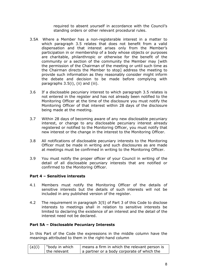required to absent yourself in accordance with the Council's standing orders or other relevant procedural rules.

- 3.5A Where a Member has a non-registerable interest in a matter to which paragraph 3.5 relates that does not benefit from a valid dispensation and that interest arises only from the Member's participation in or membership of a body whose objects or purposes are charitable, philanthropic or otherwise for the benefit of the community or a section of the community the Member may [with the permission of the Chairman of the meeting or until such time as the Chairman directs the Member to stop] address the meeting to provide such information as they reasonably consider might inform the debate and decision to be made before complying with paragraphs 3.5(i), (ii) and (iii).
- 3.6 If a disclosable pecuniary interest to which paragraph 3.5 relates is not entered in the register and has not already been notified to the Monitoring Officer at the time of the disclosure you must notify the Monitoring Officer of that interest within 28 days of the disclosure being made at the meeting.
- 3.7 Within 28 days of becoming aware of any new disclosable pecuniary interest, or change to any disclosable pecuniary interest already registered or notified to the Monitoring Officer, you must notify that new interest or the change in the interest to the Monitoring Officer.
- 3.8 All notifications of disclosable pecuniary interests to the Monitoring Officer must be made in writing and such disclosures as are made at meetings must be confirmed in writing to the Monitoring Officer.
- 3.9 You must notify the proper officer of your Council in writing of the detail of all disclosable pecuniary interests that are notified or confirmed to the Monitoring Officer.

## Part 4 – Sensitive interests

- 4.1 Members must notify the Monitoring Officer of the details of sensitive interests but the details of such interests will not be included in any published version of the register.
- 4.2 The requirement in paragraph 3(5) of Part 3 of this Code to disclose interests to meetings shall in relation to sensitive interests be limited to declaring the existence of an interest and the detail of the interest need not be declared.

## Part 5A – Disclosable Pecuniary Interests

In this Part of the Code the expressions in the middle column have the meanings attributed to them in the right-hand column

| (a)(i) | "body in which" | means a firm in which the relevant person is |
|--------|-----------------|----------------------------------------------|
|        | the relevant    | a partner or a body corporate of which the   |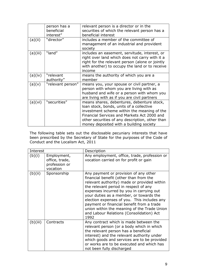|          | person has a      | relevant person is a director or in the         |
|----------|-------------------|-------------------------------------------------|
|          | beneficial        | securities of which the relevant person has a   |
|          | interest"         | beneficial interest                             |
| (a)(ii)  | "director"        | includes a member of the committee of           |
|          |                   | management of an industrial and provident       |
|          |                   | society                                         |
| (a)(iii) | "land"            | includes an easement, servitude, interest, or   |
|          |                   | right over land which does not carry with it a  |
|          |                   | right for the relevant person (alone or jointly |
|          |                   | with another) to occupy the land or to receive  |
|          |                   | income                                          |
| (a)(iv)  | "relevant         | means the authority of which you are a          |
|          | authority"        | member                                          |
| (a)(v)   | "relevant person" | means you, your spouse or civil partner, a      |
|          |                   | person with whom you are living with as         |
|          |                   | husband and wife or a person with whom you      |
|          |                   | are living with as if you are civil partners    |
| (a)(vi)  | "securities"      | means shares, debentures, debenture stock,      |
|          |                   | loan stock, bonds, units of a collective        |
|          |                   | investment scheme within the meaning of the     |
|          |                   | Financial Services and Markets Act 2000 and     |
|          |                   | other securities of any description, other than |
|          |                   | money deposited with a building society         |

The following table sets out the disclosable pecuniary interests that have been prescribed by the Secretary of State for the purposes of the Code of Conduct and the Localism Act, 2011

| Interest |                                                            | Description                                                                                                                                                                                                                                                                                                                                                                                                                                                   |
|----------|------------------------------------------------------------|---------------------------------------------------------------------------------------------------------------------------------------------------------------------------------------------------------------------------------------------------------------------------------------------------------------------------------------------------------------------------------------------------------------------------------------------------------------|
| (b)(i)   | Employment,<br>office, trade,<br>profession or<br>vocation | Any employment, office, trade, profession or<br>vocation carried on for profit or gain                                                                                                                                                                                                                                                                                                                                                                        |
| (b)(ii)  | Sponsorship                                                | Any payment or provision of any other<br>financial benefit (other than from the<br>relevant authority) made or provided within<br>the relevant period in respect of any<br>expenses incurred by you in carrying out<br>your duties as a member, or towards the<br>election expenses of you. This includes any<br>payment or financial benefit from a trade<br>union within the meaning of the Trade Union<br>and Labour Relations (Consolidation) Act<br>1992 |
| (b)(iii) | Contracts                                                  | Any contract which is made between the<br>relevant person (or a body which in which<br>the relevant person has a beneficial<br>interest) and the relevant authority under<br>which goods and services are to be provided<br>or works are to be executed and which has<br>not been fully discharged                                                                                                                                                            |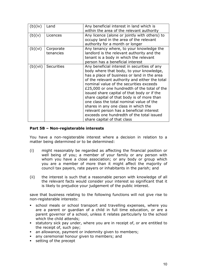| (b)(iv)  | Land                   | Any beneficial interest in land which is<br>within the area of the relevant authority                                                                                                                                                                                                                                                                                                                                                                                                                                                                                                          |
|----------|------------------------|------------------------------------------------------------------------------------------------------------------------------------------------------------------------------------------------------------------------------------------------------------------------------------------------------------------------------------------------------------------------------------------------------------------------------------------------------------------------------------------------------------------------------------------------------------------------------------------------|
| (b)(v)   | Licences               | Any licence (alone or jointly with others) to<br>occupy land in the area of the relevant<br>authority for a month or longer                                                                                                                                                                                                                                                                                                                                                                                                                                                                    |
| (b)(vi)  | Corporate<br>tenancies | Any tenancy where, to your knowledge the<br>landlord is the relevant authority and the<br>tenant is a body in which the relevant<br>person has a beneficial interest                                                                                                                                                                                                                                                                                                                                                                                                                           |
| (b)(vii) | <b>Securities</b>      | Any beneficial interest in securities of any<br>body where that body, to your knowledge,<br>has a place of business or land in the area<br>of the relevant authority and either the total<br>nominal value of the securities exceeds<br>£25,000 or one hundredth of the total of the<br>issued share capital of that body or if the<br>share capital of that body is of more than<br>one class the total nominal value of the<br>shares in any one class in which the<br>relevant person has a beneficial interest<br>exceeds one hundredth of the total issued<br>share capital of that class |

#### Part 5B – Non-registerable interests

You have a non-registerable interest where a decision in relation to a matter being determined or to be determined:

- (i) might reasonably be regarded as affecting the financial position or well being of you; a member of your family or any person with whom you have a close association; or any body or group which you are a member of more than it might affect the majority of council tax payers, rate payers or inhabitants in the parish; and
- (ii) the interest is such that a reasonable person with knowledge of all the relevant facts would consider your interest so significant that it is likely to prejudice your judgement of the public interest.

save that business relating to the following functions will not give rise to non-registerable interests:

- school meals or school transport and travelling expenses, where you are a parent or guardian of a child in full time education, or are a parent governor of a school, unless it relates particularly to the school which the child attends;
- statutory sick pay under, where you are in receipt of, or are entitled to the receipt of, such pay;
- an allowance, payment or indemnity given to members;
- any ceremonial honour given to members; and
- **setting of the precept**